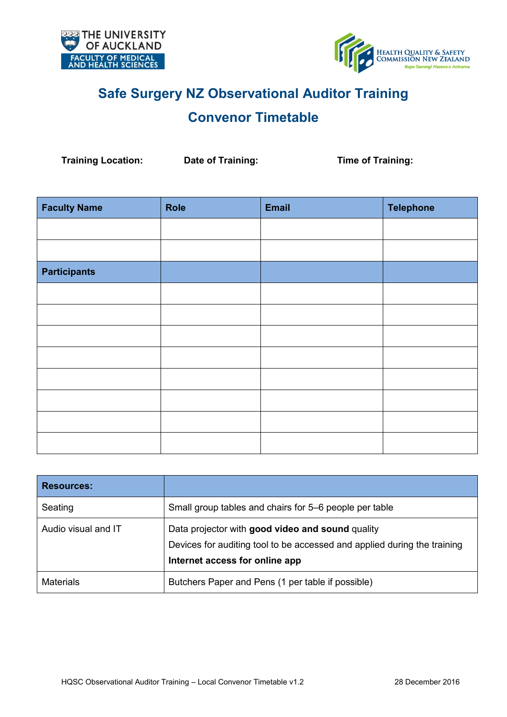



# **Safe Surgery NZ Observational Auditor Training**

## **Convenor Timetable**

**Training Location: Date of Training: Time of Training:**

| <b>Faculty Name</b> | <b>Role</b> | <b>Email</b> | <b>Telephone</b> |
|---------------------|-------------|--------------|------------------|
|                     |             |              |                  |
|                     |             |              |                  |
| <b>Participants</b> |             |              |                  |
|                     |             |              |                  |
|                     |             |              |                  |
|                     |             |              |                  |
|                     |             |              |                  |
|                     |             |              |                  |
|                     |             |              |                  |
|                     |             |              |                  |
|                     |             |              |                  |

| <b>Resources:</b>   |                                                                                                                                                                |
|---------------------|----------------------------------------------------------------------------------------------------------------------------------------------------------------|
| Seating             | Small group tables and chairs for 5–6 people per table                                                                                                         |
| Audio visual and IT | Data projector with good video and sound quality<br>Devices for auditing tool to be accessed and applied during the training<br>Internet access for online app |
| <b>Materials</b>    | Butchers Paper and Pens (1 per table if possible)                                                                                                              |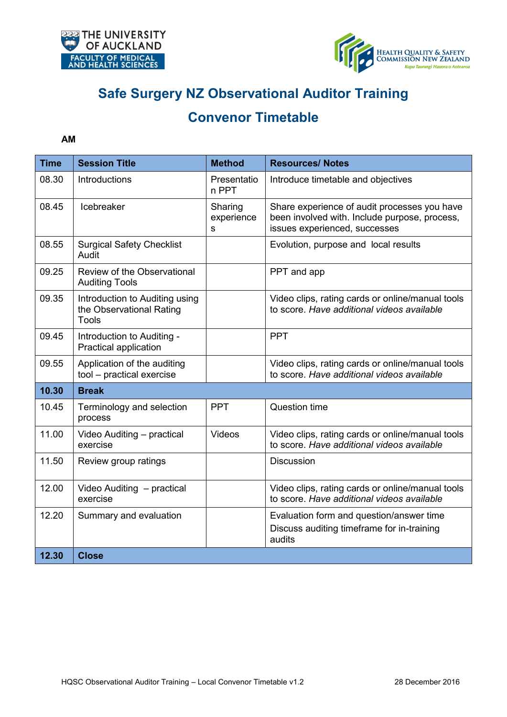



# **Safe Surgery NZ Observational Auditor Training**

## **Convenor Timetable**

#### **AM**

| <b>Time</b> | <b>Session Title</b>                                                       | <b>Method</b>              | <b>Resources/ Notes</b>                                                                                                        |
|-------------|----------------------------------------------------------------------------|----------------------------|--------------------------------------------------------------------------------------------------------------------------------|
| 08.30       | Introductions                                                              | Presentatio<br>n PPT       | Introduce timetable and objectives                                                                                             |
| 08.45       | Icebreaker                                                                 | Sharing<br>experience<br>S | Share experience of audit processes you have<br>been involved with. Include purpose, process,<br>issues experienced, successes |
| 08.55       | <b>Surgical Safety Checklist</b><br>Audit                                  |                            | Evolution, purpose and local results                                                                                           |
| 09.25       | Review of the Observational<br><b>Auditing Tools</b>                       |                            | PPT and app                                                                                                                    |
| 09.35       | Introduction to Auditing using<br>the Observational Rating<br><b>Tools</b> |                            | Video clips, rating cards or online/manual tools<br>to score. Have additional videos available                                 |
| 09.45       | Introduction to Auditing -<br>Practical application                        |                            | <b>PPT</b>                                                                                                                     |
| 09.55       | Application of the auditing<br>tool - practical exercise                   |                            | Video clips, rating cards or online/manual tools<br>to score. Have additional videos available                                 |
| 10.30       | <b>Break</b>                                                               |                            |                                                                                                                                |
| 10.45       | Terminology and selection<br>process                                       | <b>PPT</b>                 | <b>Question time</b>                                                                                                           |
| 11.00       | Video Auditing - practical<br>exercise                                     | Videos                     | Video clips, rating cards or online/manual tools<br>to score. Have additional videos available                                 |
| 11.50       | Review group ratings                                                       |                            | <b>Discussion</b>                                                                                                              |
| 12.00       | Video Auditing - practical<br>exercise                                     |                            | Video clips, rating cards or online/manual tools<br>to score. Have additional videos available                                 |
| 12.20       | Summary and evaluation                                                     |                            | Evaluation form and question/answer time<br>Discuss auditing timeframe for in-training<br>audits                               |
| 12.30       | <b>Close</b>                                                               |                            |                                                                                                                                |